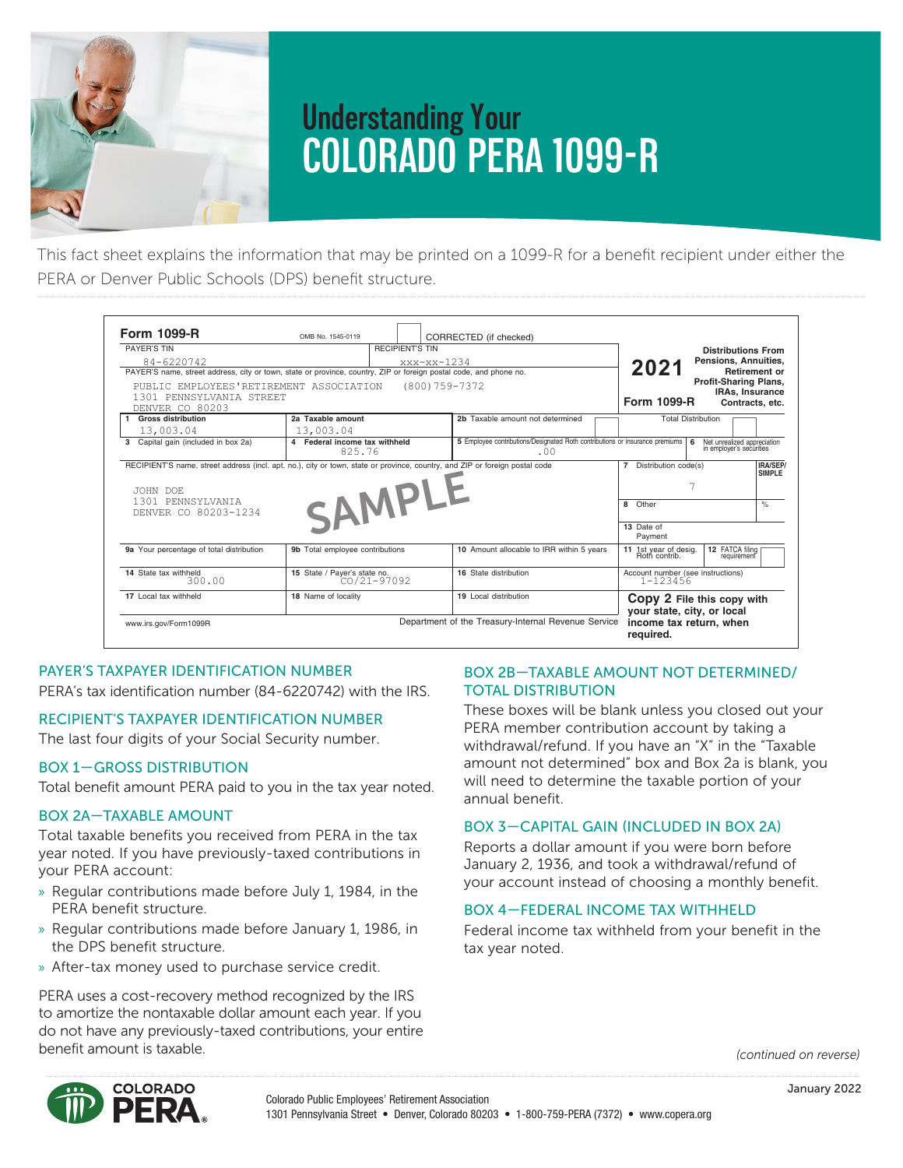

2/117 (REV 10-20) 138M

# **Understanding Your COLORADO PERA 1099-R** <u>isted in this box, refer to Box 2a is blank and the box 2a is blank and the taxable amount not determined, the taxable portion of you must determined the taxable portion of you must determine the taxable portion of your m</u> **COLORADO PERA 1099-R** PERA 1099-R insurance. If you need the amount of your insurance premiums, refer to your year-end benefit check or EFT statement. If Box 5 is blank and there

This fact sheet explains the information that may be printed on a 1099-R for a benefit recipient under either the PERA or Denver Public Schools (DPS) benefit structure.

| <b>Form 1099-R</b><br>PAYER'S TIN<br>$84 - 6220742$<br>PAYER'S name, street address, city or town, state or province, country, ZIP or foreign postal code, and phone no.             | OMB No. 1545-0119<br><b>RECIPIENT'S TIN</b><br>$xxx-xx-1234$ | CORRECTED (if checked)                                                              | <b>Distributions From</b><br>Pensions, Annuities,<br>2021<br><b>Retirement or</b><br>Profit-Sharing Plans,  |
|--------------------------------------------------------------------------------------------------------------------------------------------------------------------------------------|--------------------------------------------------------------|-------------------------------------------------------------------------------------|-------------------------------------------------------------------------------------------------------------|
| PUBLIC EMPLOYEES'RETIREMENT ASSOCIATION<br>(800) 759-7372<br>1301 PENNSYLVANTA STREET<br>DENVER CO 80203                                                                             |                                                              |                                                                                     | IRAs, Insurance<br><b>Form 1099-R</b><br>Contracts, etc.                                                    |
| 1 Gross distribution<br>13,003.04                                                                                                                                                    | 2a Taxable amount<br>13,003.04                               | 2b Taxable amount not determined                                                    | <b>Total Distribution</b>                                                                                   |
| 3 Capital gain (included in box 2a)                                                                                                                                                  | 4 Federal income tax withheld<br>825.76                      | 5 Employee contributions/Designated Roth contributions or insurance premiums<br>.00 | Net unrealized appreciation<br>6<br>in employer's securities                                                |
| RECIPIENT'S name, street address (incl. apt. no.), city or town, state or province, country, and ZIP or foreign postal code<br>JOHN DOE<br>1301 PENNSYLVANTA<br>DENVER CO 80203-1234 | SAMPLE                                                       |                                                                                     | IRA/SEP/<br>Distribution code(s)<br><b>SIMPLE</b><br>7<br>$\frac{1}{2}$<br>8 Other<br>13 Date of<br>Payment |
| 9a Your percentage of total distribution                                                                                                                                             | 9b Total employee contributions                              | 10 Amount allocable to IRR within 5 years                                           | 12 FATCA filing<br>11 1st year of desig.<br>Roth contrib.<br>requirement                                    |
| 14 State tax withheld<br>300.00                                                                                                                                                      | 15 State / Payer's state no.<br>$CO/21 - 97092$              | 16 State distribution                                                               | Account number (see instructions)<br>$1 - 123456$                                                           |
| 17 Local tax withheld<br>www.irs.gov/Form1099R                                                                                                                                       | 18 Name of locality                                          | 19 Local distribution<br>Department of the Treasury-Internal Revenue Service        | CODV 2 File this copy with<br>your state, city, or local<br>income tax return, when<br>required.            |

#### **PAYER'S TAXPAYER IDENTIFICATION NUMBER** BOX 2B-1 PAYER'S ENTIRE ON HEATING TIME TO

PERA's tax identification number (84-6220742) with the IRS.

# RECIPIENT'S TAXPAYER IDENTIFICATION NUMBER

The last four digits of your Social Security number.

# **BOX 1-GROSS DISTRIBUTION**

Total benefit amount PERA paid to you in the tax year noted.

# BOX 2A—TAXABLE AMOUNT

Total taxable benefits you received from PERA in the tax year noted. If you have previously-taxed contributions in your PERA account: **9a 9b 10**

- » Regular contributions made before July 1, 1984, in the PERA benefit structure. **144 and State 3rd State / Payer's state 3rd State / Payer 15 16**
- » Regular contributions made before January 1, 1986, in Federal in the DPS benefit structure.
- » After-tax money used to purchase service credit.

PERA uses a cost-recovery method recognized by the IRS to amortize the nontaxable dollar amount each year. If you do not have any previously-taxed contributions, your entire benefit amount is taxable.

**2a**

# BOX 2B-TAXABLE AMOUNT NOT DETERMINED/ TOTAL DISTRIBUTION

These boxes will be blank unless you closed out your PERA member contribution account by taking a gits or your social security number. The amount withdrawal/refund. If you have an "X" in the "Taxable amount not determined" box and Box 2a is blank, you mine in the taxable portion of your will need to determine the taxable portion of your annual benefit.<br>annual benefit. G PAYER'S name, street address, city or town, state or province, country, ZIP or foreign postal code, and phone no. **Retirement or Profit-Sharing Plans,**

#### BOX 3—CAPITAL GAIN (INCLUDED IN BOX 2A) **8** Other %

Reports a dollar amount if you were born before January 2, 1936, and took a withdrawal/refund of your account instead of choosing a monthly benefit.

# **BOX 4-FEDERAL INCOME TAX WITHHELD**

Federal income tax withheld from your benefit in the tax year noted.

Total Distribution

*(continued on reverse)* 



**2b**